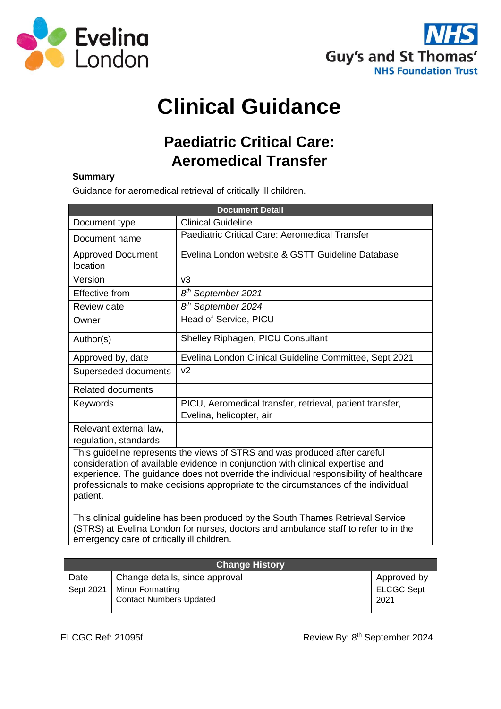



# **Clinical Guidance**

# **Paediatric Critical Care: Aeromedical Transfer**

# **Summary**

Guidance for aeromedical retrieval of critically ill children.

| <b>Document Detail</b>                                                                                                                                                                                                                                                                                                                                   |                                                                                      |  |  |
|----------------------------------------------------------------------------------------------------------------------------------------------------------------------------------------------------------------------------------------------------------------------------------------------------------------------------------------------------------|--------------------------------------------------------------------------------------|--|--|
| Document type                                                                                                                                                                                                                                                                                                                                            | Clinical Guideline                                                                   |  |  |
| Document name                                                                                                                                                                                                                                                                                                                                            | Paediatric Critical Care: Aeromedical Transfer                                       |  |  |
| <b>Approved Document</b><br>location                                                                                                                                                                                                                                                                                                                     | Evelina London website & GSTT Guideline Database                                     |  |  |
| Version                                                                                                                                                                                                                                                                                                                                                  | v3                                                                                   |  |  |
| Effective from                                                                                                                                                                                                                                                                                                                                           | 8 <sup>th</sup> September 2021                                                       |  |  |
| <b>Review date</b>                                                                                                                                                                                                                                                                                                                                       | 8 <sup>th</sup> September 2024                                                       |  |  |
| Owner                                                                                                                                                                                                                                                                                                                                                    | Head of Service, PICU                                                                |  |  |
| Author(s)                                                                                                                                                                                                                                                                                                                                                | Shelley Riphagen, PICU Consultant                                                    |  |  |
| Approved by, date                                                                                                                                                                                                                                                                                                                                        | Evelina London Clinical Guideline Committee, Sept 2021                               |  |  |
| Superseded documents                                                                                                                                                                                                                                                                                                                                     | v <sub>2</sub>                                                                       |  |  |
| <b>Related documents</b>                                                                                                                                                                                                                                                                                                                                 |                                                                                      |  |  |
| Keywords                                                                                                                                                                                                                                                                                                                                                 | PICU, Aeromedical transfer, retrieval, patient transfer,<br>Evelina, helicopter, air |  |  |
| Relevant external law,<br>regulation, standards                                                                                                                                                                                                                                                                                                          |                                                                                      |  |  |
| This guideline represents the views of STRS and was produced after careful<br>consideration of available evidence in conjunction with clinical expertise and<br>experience. The guidance does not override the individual responsibility of healthcare<br>professionals to make decisions appropriate to the circumstances of the individual<br>patient. |                                                                                      |  |  |

This clinical guideline has been produced by the South Thames Retrieval Service (STRS) at Evelina London for nurses, doctors and ambulance staff to refer to in the emergency care of critically ill children.

| <b>Change History</b> |                                                           |                           |  |
|-----------------------|-----------------------------------------------------------|---------------------------|--|
| Date                  | Change details, since approval                            | Approved by               |  |
| Sept 2021             | <b>Minor Formatting</b><br><b>Contact Numbers Updated</b> | <b>ELCGC Sept</b><br>2021 |  |
|                       |                                                           |                           |  |